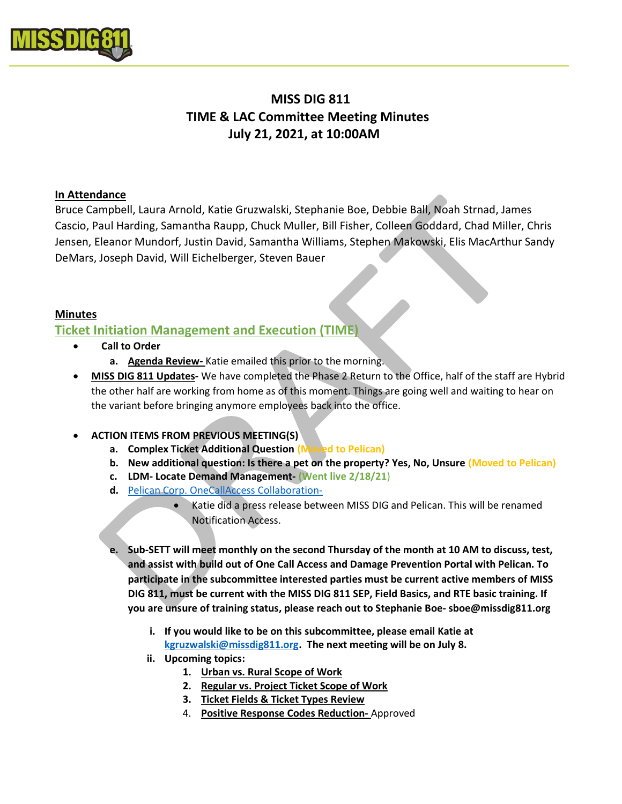

# MISS DIG 811 TIME & LAC Committee Meeting Minutes July 21, 2021, at 10:00AM

# In Attendance

Bruce Campbell, Laura Arnold, Katie Gruzwalski, Stephanie Boe, Debbie Ball, Noah Strnad, James Cascio, Paul Harding, Samantha Raupp, Chuck Muller, Bill Fisher, Colleen Goddard, Chad Miller, Chris Jensen, Eleanor Mundorf, Justin David, Samantha Williams, Stephen Makowski, Elis MacArthur Sandy DeMars, Joseph David, Will Eichelberger, Steven Bauer

# Minutes

# Ticket Initiation Management and Execution (TIME)

- Call to Order
	- a. Agenda Review- Katie emailed this prior to the morning.
- MISS DIG 811 Updates- We have completed the Phase 2 Return to the Office, half of the staff are Hybrid the other half are working from home as of this moment. Things are going well and waiting to hear on the variant before bringing anymore employees back into the office.

# ACTION ITEMS FROM PREVIOUS MEETING(S)

- a. Complex Ticket Additional Question (Moved to Pelican)
- b. New additional question: Is there a pet on the property? Yes, No, Unsure (Moved to Pelican)
- c. LDM- Locate Demand Management- (Went live 2/18/21)
- d. Pelican Corp. OneCallAccess Collaboration-
	- Katie did a press release between MISS DIG and Pelican. This will be renamed Notification Access.
- e. Sub-SETT will meet monthly on the second Thursday of the month at 10 AM to discuss, test, and assist with build out of One Call Access and Damage Prevention Portal with Pelican. To participate in the subcommittee interested parties must be current active members of MISS DIG 811, must be current with the MISS DIG 811 SEP, Field Basics, and RTE basic training. If you are unsure of training status, please reach out to Stephanie Boe- sboe@missdig811.org
	- i. If you would like to be on this subcommittee, please email Katie at kgruzwalski@missdig811.org. The next meeting will be on July 8.
	- ii. Upcoming topics:
		- 1. Urban vs. Rural Scope of Work
		- 2. Regular vs. Project Ticket Scope of Work
		- 3. Ticket Fields & Ticket Types Review
		- 4. Positive Response Codes Reduction- Approved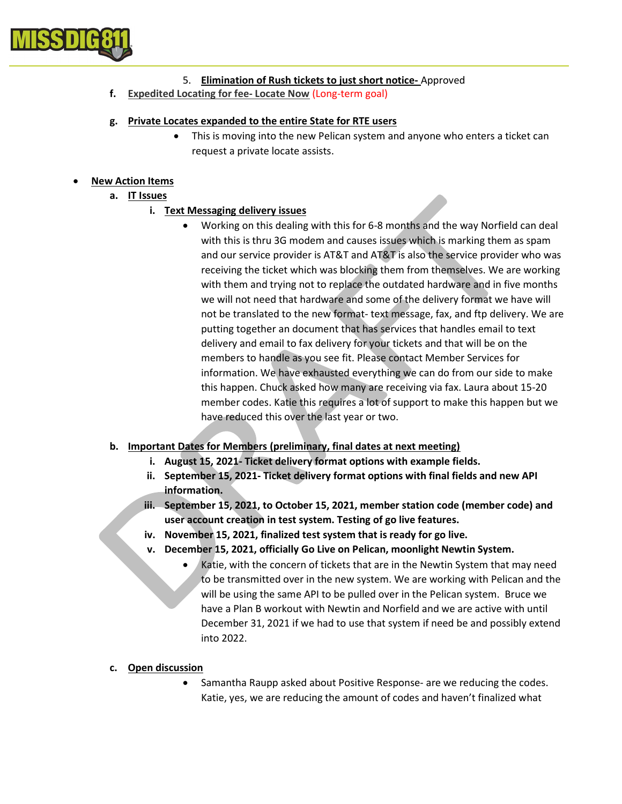

#### 5. Elimination of Rush tickets to just short notice- Approved

f. Expedited Locating for fee- Locate Now (Long-term goal)

#### g. Private Locates expanded to the entire State for RTE users

 This is moving into the new Pelican system and anyone who enters a ticket can request a private locate assists.

# New Action Items

a. IT Issues

# i. Text Messaging delivery issues

 Working on this dealing with this for 6-8 months and the way Norfield can deal with this is thru 3G modem and causes issues which is marking them as spam and our service provider is AT&T and AT&T is also the service provider who was receiving the ticket which was blocking them from themselves. We are working with them and trying not to replace the outdated hardware and in five months we will not need that hardware and some of the delivery format we have will not be translated to the new format- text message, fax, and ftp delivery. We are putting together an document that has services that handles email to text delivery and email to fax delivery for your tickets and that will be on the members to handle as you see fit. Please contact Member Services for information. We have exhausted everything we can do from our side to make this happen. Chuck asked how many are receiving via fax. Laura about 15-20 member codes. Katie this requires a lot of support to make this happen but we have reduced this over the last year or two.

# b. Important Dates for Members (preliminary, final dates at next meeting)

- i. August 15, 2021- Ticket delivery format options with example fields.
- ii. September 15, 2021- Ticket delivery format options with final fields and new API information.
- iii. September 15, 2021, to October 15, 2021, member station code (member code) and user account creation in test system. Testing of go live features.
- iv. November 15, 2021, finalized test system that is ready for go live.
- v. December 15, 2021, officially Go Live on Pelican, moonlight Newtin System.
	- Katie, with the concern of tickets that are in the Newtin System that may need to be transmitted over in the new system. We are working with Pelican and the will be using the same API to be pulled over in the Pelican system. Bruce we have a Plan B workout with Newtin and Norfield and we are active with until December 31, 2021 if we had to use that system if need be and possibly extend into 2022.

#### c. Open discussion

 Samantha Raupp asked about Positive Response- are we reducing the codes. Katie, yes, we are reducing the amount of codes and haven't finalized what